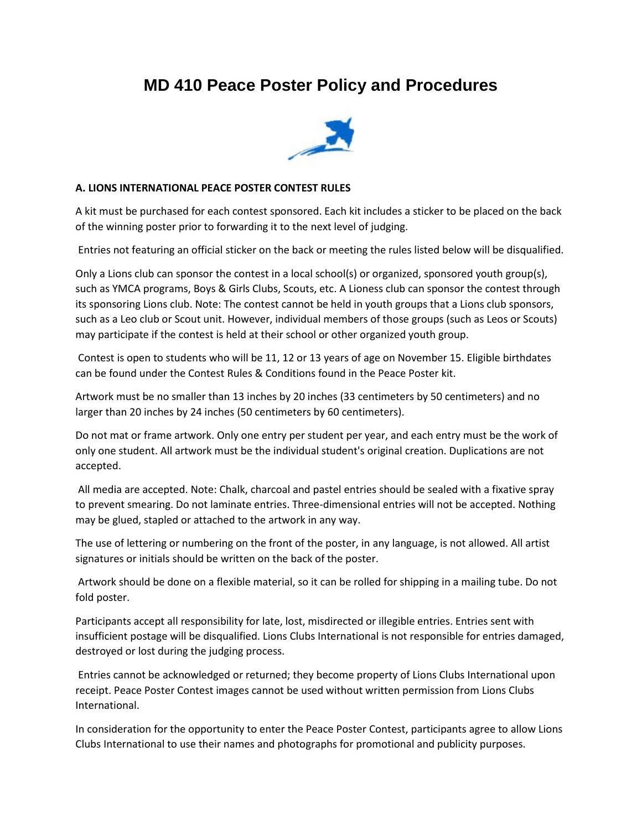# **MD 410 Peace Poster Policy and Procedures**



## **A. LIONS INTERNATIONAL PEACE POSTER CONTEST RULES**

A kit must be purchased for each contest sponsored. Each kit includes a sticker to be placed on the back of the winning poster prior to forwarding it to the next level of judging.

Entries not featuring an official sticker on the back or meeting the rules listed below will be disqualified.

Only a Lions club can sponsor the contest in a local school(s) or organized, sponsored youth group(s), such as YMCA programs, Boys & Girls Clubs, Scouts, etc. A Lioness club can sponsor the contest through its sponsoring Lions club. Note: The contest cannot be held in youth groups that a Lions club sponsors, such as a Leo club or Scout unit. However, individual members of those groups (such as Leos or Scouts) may participate if the contest is held at their school or other organized youth group.

Contest is open to students who will be 11, 12 or 13 years of age on November 15. Eligible birthdates can be found under the Contest Rules & Conditions found in the Peace Poster kit.

Artwork must be no smaller than 13 inches by 20 inches (33 centimeters by 50 centimeters) and no larger than 20 inches by 24 inches (50 centimeters by 60 centimeters).

Do not mat or frame artwork. Only one entry per student per year, and each entry must be the work of only one student. All artwork must be the individual student's original creation. Duplications are not accepted.

All media are accepted. Note: Chalk, charcoal and pastel entries should be sealed with a fixative spray to prevent smearing. Do not laminate entries. Three-dimensional entries will not be accepted. Nothing may be glued, stapled or attached to the artwork in any way.

The use of lettering or numbering on the front of the poster, in any language, is not allowed. All artist signatures or initials should be written on the back of the poster.

Artwork should be done on a flexible material, so it can be rolled for shipping in a mailing tube. Do not fold poster.

Participants accept all responsibility for late, lost, misdirected or illegible entries. Entries sent with insufficient postage will be disqualified. Lions Clubs International is not responsible for entries damaged, destroyed or lost during the judging process.

Entries cannot be acknowledged or returned; they become property of Lions Clubs International upon receipt. Peace Poster Contest images cannot be used without written permission from Lions Clubs International.

In consideration for the opportunity to enter the Peace Poster Contest, participants agree to allow Lions Clubs International to use their names and photographs for promotional and publicity purposes.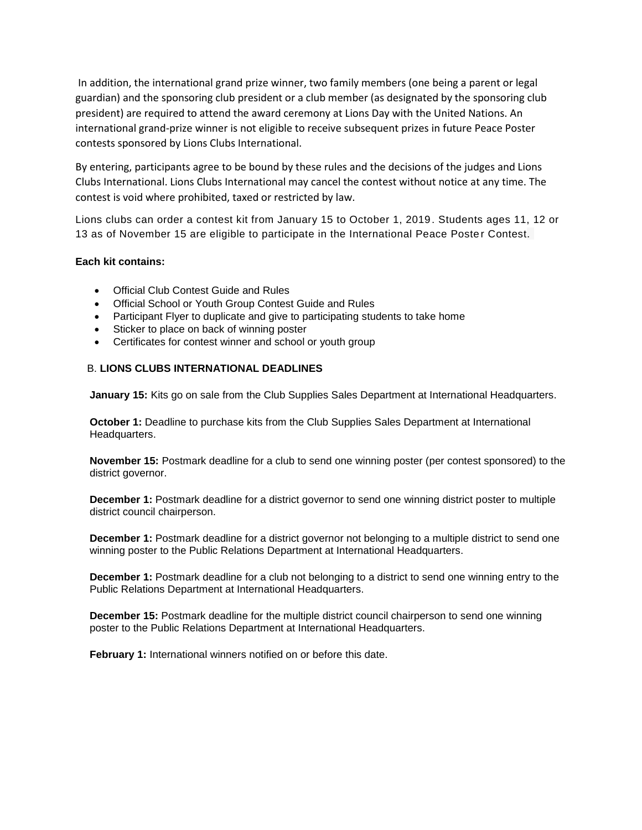In addition, the international grand prize winner, two family members (one being a parent or legal guardian) and the sponsoring club president or a club member (as designated by the sponsoring club president) are required to attend the award ceremony at Lions Day with the United Nations. An international grand-prize winner is not eligible to receive subsequent prizes in future Peace Poster contests sponsored by Lions Clubs International.

By entering, participants agree to be bound by these rules and the decisions of the judges and Lions Clubs International. Lions Clubs International may cancel the contest without notice at any time. The contest is void where prohibited, taxed or restricted by law.

Lions clubs can order a contest kit from January 15 to October 1, 2019. Students ages 11, 12 or 13 as of November 15 are eligible to participate in the International Peace Poster Contest.

#### **Each kit contains:**

- Official Club Contest Guide and Rules
- Official School or Youth Group Contest Guide and Rules
- Participant Flyer to duplicate and give to participating students to take home
- Sticker to place on back of winning poster
- Certificates for contest winner and school or youth group

### B. **LIONS CLUBS INTERNATIONAL DEADLINES**

**January 15:** Kits go on sale from the Club Supplies Sales Department at International Headquarters.

**October 1:** Deadline to purchase kits from the Club Supplies Sales Department at International Headquarters.

**November 15:** Postmark deadline for a club to send one winning poster (per contest sponsored) to the district governor.

**December 1:** Postmark deadline for a district governor to send one winning district poster to multiple district council chairperson.

**December 1:** Postmark deadline for a district governor not belonging to a multiple district to send one winning poster to the Public Relations Department at International Headquarters.

**December 1:** Postmark deadline for a club not belonging to a district to send one winning entry to the Public Relations Department at International Headquarters.

**December 15:** Postmark deadline for the multiple district council chairperson to send one winning poster to the Public Relations Department at International Headquarters.

**February 1:** International winners notified on or before this date.